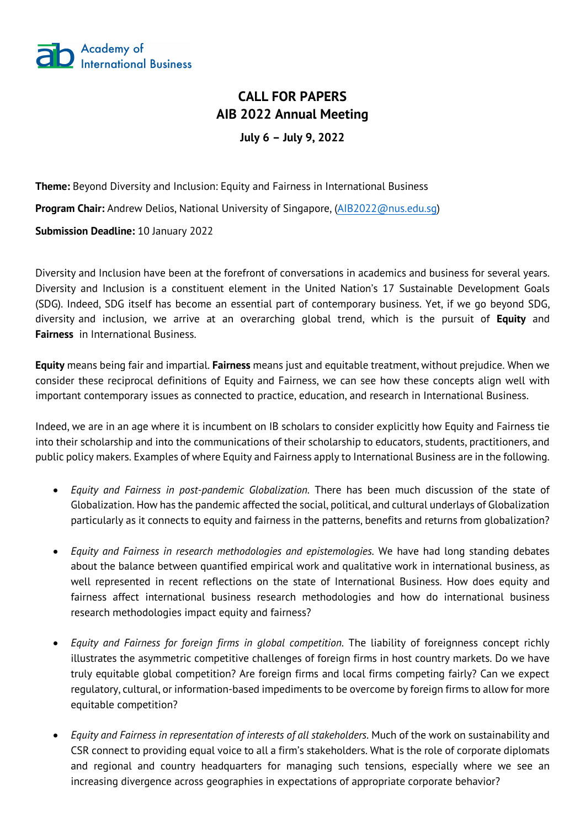

## **CALL FOR PAPERS AIB 2022 Annual Meeting July 6 – July 9, 2022**

**Theme:** Beyond Diversity and Inclusion: Equity and Fairness in International Business **Program Chair:** Andrew Delios, National University of Singapore, (AIB2022@nus.edu.sg) **Submission Deadline:** 10 January 2022

Diversity and Inclusion have been at the forefront of conversations in academics and business for several years. Diversity and Inclusion is a constituent element in the United Nation's 17 Sustainable Development Goals (SDG). Indeed, SDG itself has become an essential part of contemporary business. Yet, if we go beyond SDG, diversity and inclusion, we arrive at an overarching global trend, which is the pursuit of **Equity** and **Fairness** in International Business.

**Equity** means being fair and impartial. **Fairness** means just and equitable treatment, without prejudice. When we consider these reciprocal definitions of Equity and Fairness, we can see how these concepts align well with important contemporary issues as connected to practice, education, and research in International Business.

Indeed, we are in an age where it is incumbent on IB scholars to consider explicitly how Equity and Fairness tie into their scholarship and into the communications of their scholarship to educators, students, practitioners, and public policy makers. Examples of where Equity and Fairness apply to International Business are in the following.

- *Equity and Fairness in post-pandemic Globalization.* There has been much discussion of the state of Globalization. How has the pandemic affected the social, political, and cultural underlays of Globalization particularly as it connects to equity and fairness in the patterns, benefits and returns from globalization?
- *Equity and Fairness in research methodologies and epistemologies.* We have had long standing debates about the balance between quantified empirical work and qualitative work in international business, as well represented in recent reflections on the state of International Business. How does equity and fairness affect international business research methodologies and how do international business research methodologies impact equity and fairness?
- *Equity and Fairness for foreign firms in global competition.* The liability of foreignness concept richly illustrates the asymmetric competitive challenges of foreign firms in host country markets. Do we have truly equitable global competition? Are foreign firms and local firms competing fairly? Can we expect regulatory, cultural, or information-based impediments to be overcome by foreign firms to allow for more equitable competition?
- *Equity and Fairness in representation of interests of all stakeholders.* Much of the work on sustainability and CSR connect to providing equal voice to all a firm's stakeholders. What is the role of corporate diplomats and regional and country headquarters for managing such tensions, especially where we see an increasing divergence across geographies in expectations of appropriate corporate behavior?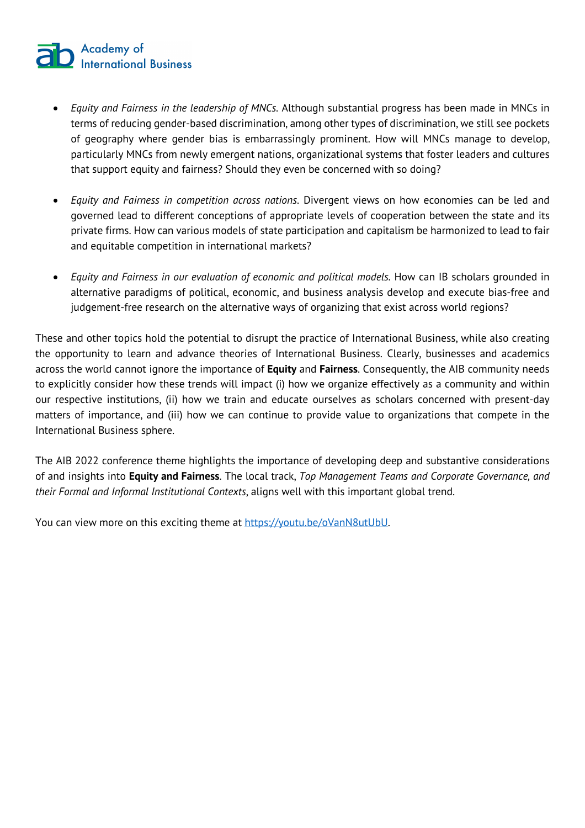# **2** Academy of<br>**2** International Business

- *Equity and Fairness in the leadership of MNCs.* Although substantial progress has been made in MNCs in terms of reducing gender-based discrimination, among other types of discrimination, we still see pockets of geography where gender bias is embarrassingly prominent. How will MNCs manage to develop, particularly MNCs from newly emergent nations, organizational systems that foster leaders and cultures that support equity and fairness? Should they even be concerned with so doing?
- *Equity and Fairness in competition across nations.* Divergent views on how economies can be led and governed lead to different conceptions of appropriate levels of cooperation between the state and its private firms. How can various models of state participation and capitalism be harmonized to lead to fair and equitable competition in international markets?
- *Equity and Fairness in our evaluation of economic and political models.* How can IB scholars grounded in alternative paradigms of political, economic, and business analysis develop and execute bias-free and judgement-free research on the alternative ways of organizing that exist across world regions?

These and other topics hold the potential to disrupt the practice of International Business, while also creating the opportunity to learn and advance theories of International Business. Clearly, businesses and academics across the world cannot ignore the importance of **Equity** and **Fairness**. Consequently, the AIB community needs to explicitly consider how these trends will impact (i) how we organize effectively as a community and within our respective institutions, (ii) how we train and educate ourselves as scholars concerned with present-day matters of importance, and (iii) how we can continue to provide value to organizations that compete in the International Business sphere.

The AIB 2022 conference theme highlights the importance of developing deep and substantive considerations of and insights into **Equity and Fairness**. The local track, *Top Management Teams and Corporate Governance, and their Formal and Informal Institutional Contexts*, aligns well with this important global trend.

You can view more on this exciting theme at https://youtu.be/oVanN8utUbU.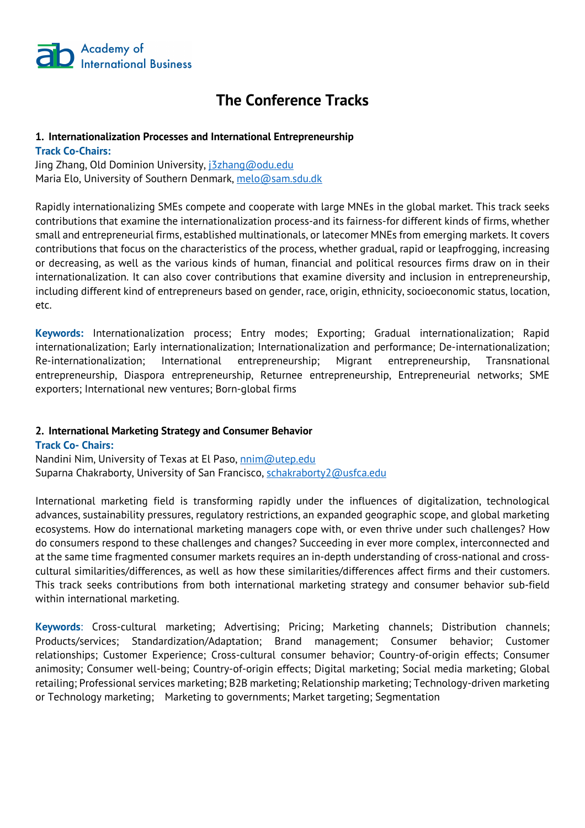

## **The Conference Tracks**

#### **1. Internationalization Processes and International Entrepreneurship**

**Track Co-Chairs:**

Jing Zhang, Old Dominion University, *j3zhang@odu.edu* Maria Elo, University of Southern Denmark, melo@sam.sdu.dk

Rapidly internationalizing SMEs compete and cooperate with large MNEs in the global market. This track seeks contributions that examine the internationalization process-and its fairness-for different kinds of firms, whether small and entrepreneurial firms, established multinationals, or latecomer MNEs from emerging markets. It covers contributions that focus on the characteristics of the process, whether gradual, rapid or leapfrogging, increasing or decreasing, as well as the various kinds of human, financial and political resources firms draw on in their internationalization. It can also cover contributions that examine diversity and inclusion in entrepreneurship, including different kind of entrepreneurs based on gender, race, origin, ethnicity, socioeconomic status, location, etc.

**Keywords:** Internationalization process; Entry modes; Exporting; Gradual internationalization; Rapid internationalization; Early internationalization; Internationalization and performance; De-internationalization; Re-internationalization; International entrepreneurship; Migrant entrepreneurship, Transnational entrepreneurship, Diaspora entrepreneurship, Returnee entrepreneurship, Entrepreneurial networks; SME exporters; International new ventures; Born-global firms

#### **2. International Marketing Strategy and Consumer Behavior**

**Track Co- Chairs:** Nandini Nim, University of Texas at El Paso, nnim@utep.edu Suparna Chakraborty, University of San Francisco, schakraborty2@usfca.edu

International marketing field is transforming rapidly under the influences of digitalization, technological advances, sustainability pressures, regulatory restrictions, an expanded geographic scope, and global marketing ecosystems. How do international marketing managers cope with, or even thrive under such challenges? How do consumers respond to these challenges and changes? Succeeding in ever more complex, interconnected and at the same time fragmented consumer markets requires an in-depth understanding of cross-national and crosscultural similarities/differences, as well as how these similarities/differences affect firms and their customers. This track seeks contributions from both international marketing strategy and consumer behavior sub-field within international marketing.

**Keywords**: Cross-cultural marketing; Advertising; Pricing; Marketing channels; Distribution channels; Products/services; Standardization/Adaptation; Brand management; Consumer behavior; Customer relationships; Customer Experience; Cross-cultural consumer behavior; Country-of-origin effects; Consumer animosity; Consumer well-being; Country-of-origin effects; Digital marketing; Social media marketing; Global retailing; Professional services marketing; B2B marketing; Relationship marketing; Technology-driven marketing or Technology marketing; Marketing to governments; Market targeting; Segmentation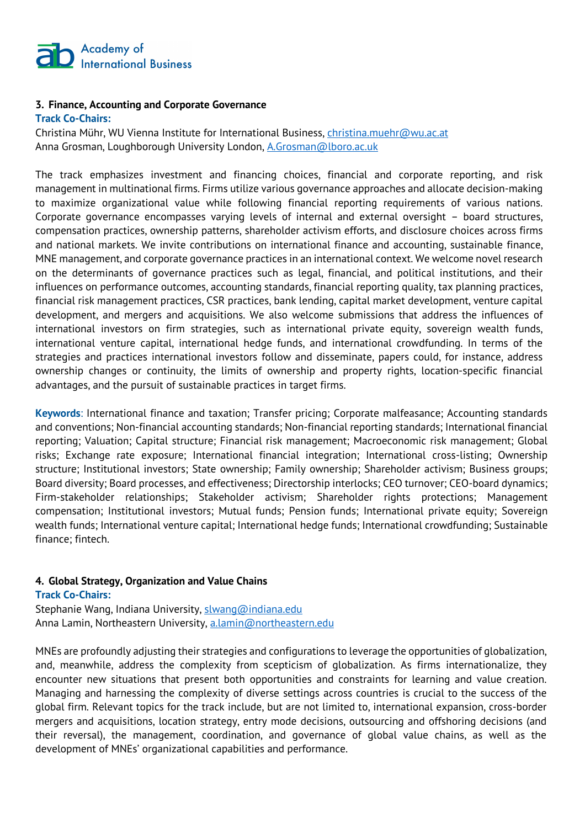

#### **3. Finance, Accounting and Corporate Governance Track Co-Chairs:**

Christina Mühr, WU Vienna Institute for International Business, christina.muehr@wu.ac.at Anna Grosman, Loughborough University London, A.Grosman@lboro.ac.uk

The track emphasizes investment and financing choices, financial and corporate reporting, and risk management in multinational firms. Firms utilize various governance approaches and allocate decision-making to maximize organizational value while following financial reporting requirements of various nations. Corporate governance encompasses varying levels of internal and external oversight – board structures, compensation practices, ownership patterns, shareholder activism efforts, and disclosure choices across firms and national markets. We invite contributions on international finance and accounting, sustainable finance, MNE management, and corporate governance practices in an international context. We welcome novel research on the determinants of governance practices such as legal, financial, and political institutions, and their influences on performance outcomes, accounting standards, financial reporting quality, tax planning practices, financial risk management practices, CSR practices, bank lending, capital market development, venture capital development, and mergers and acquisitions. We also welcome submissions that address the influences of international investors on firm strategies, such as international private equity, sovereign wealth funds, international venture capital, international hedge funds, and international crowdfunding. In terms of the strategies and practices international investors follow and disseminate, papers could, for instance, address ownership changes or continuity, the limits of ownership and property rights, location-specific financial advantages, and the pursuit of sustainable practices in target firms.

**Keywords**: International finance and taxation; Transfer pricing; Corporate malfeasance; Accounting standards and conventions; Non-financial accounting standards; Non-financial reporting standards; International financial reporting; Valuation; Capital structure; Financial risk management; Macroeconomic risk management; Global risks; Exchange rate exposure; International financial integration; International cross-listing; Ownership structure; Institutional investors; State ownership; Family ownership; Shareholder activism; Business groups; Board diversity; Board processes, and effectiveness; Directorship interlocks; CEO turnover; CEO-board dynamics; Firm-stakeholder relationships; Stakeholder activism; Shareholder rights protections; Management compensation; Institutional investors; Mutual funds; Pension funds; International private equity; Sovereign wealth funds; International venture capital; International hedge funds; International crowdfunding; Sustainable finance; fintech.

#### **4. Global Strategy, Organization and Value Chains**

**Track Co-Chairs:** Stephanie Wang, Indiana University, slwang@indiana.edu Anna Lamin, Northeastern University, a.lamin@northeastern.edu

MNEs are profoundly adjusting their strategies and configurations to leverage the opportunities of globalization, and, meanwhile, address the complexity from scepticism of globalization. As firms internationalize, they encounter new situations that present both opportunities and constraints for learning and value creation. Managing and harnessing the complexity of diverse settings across countries is crucial to the success of the global firm. Relevant topics for the track include, but are not limited to, international expansion, cross-border mergers and acquisitions, location strategy, entry mode decisions, outsourcing and offshoring decisions (and their reversal), the management, coordination, and governance of global value chains, as well as the development of MNEs' organizational capabilities and performance.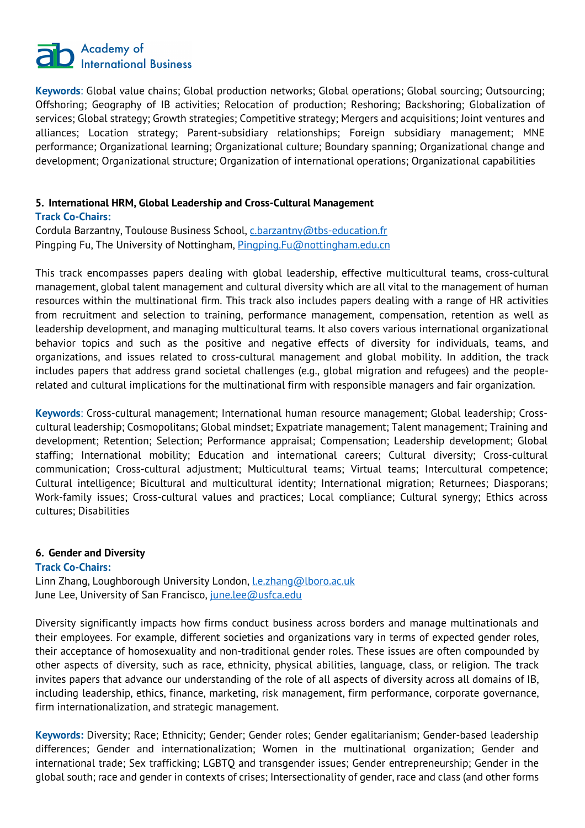# Academy of<br>
International Business

**Keywords**: Global value chains; Global production networks; Global operations; Global sourcing; Outsourcing; Offshoring; Geography of IB activities; Relocation of production; Reshoring; Backshoring; Globalization of services; Global strategy; Growth strategies; Competitive strategy; Mergers and acquisitions; Joint ventures and alliances; Location strategy; Parent-subsidiary relationships; Foreign subsidiary management; MNE performance; Organizational learning; Organizational culture; Boundary spanning; Organizational change and development; Organizational structure; Organization of international operations; Organizational capabilities

#### **5. International HRM, Global Leadership and Cross-Cultural Management**

#### **Track Co-Chairs:**

Cordula Barzantny, Toulouse Business School, c.barzantny@tbs-education.fr Pingping Fu, The University of Nottingham, Pingping, Fu@nottingham.edu.cn

This track encompasses papers dealing with global leadership, effective multicultural teams, cross-cultural management, global talent management and cultural diversity which are all vital to the management of human resources within the multinational firm. This track also includes papers dealing with a range of HR activities from recruitment and selection to training, performance management, compensation, retention as well as leadership development, and managing multicultural teams. It also covers various international organizational behavior topics and such as the positive and negative effects of diversity for individuals, teams, and organizations, and issues related to cross-cultural management and global mobility. In addition, the track includes papers that address grand societal challenges (e.g., global migration and refugees) and the peoplerelated and cultural implications for the multinational firm with responsible managers and fair organization.

**Keywords**: Cross-cultural management; International human resource management; Global leadership; Crosscultural leadership; Cosmopolitans; Global mindset; Expatriate management; Talent management; Training and development; Retention; Selection; Performance appraisal; Compensation; Leadership development; Global staffing; International mobility; Education and international careers; Cultural diversity; Cross-cultural communication; Cross-cultural adjustment; Multicultural teams; Virtual teams; Intercultural competence; Cultural intelligence; Bicultural and multicultural identity; International migration; Returnees; Diasporans; Work-family issues; Cross-cultural values and practices; Local compliance; Cultural synergy; Ethics across cultures; Disabilities

#### **6. Gender and Diversity**

#### **Track Co-Chairs:**

Linn Zhang, Loughborough University London, *Le.zhang@lboro.ac.uk* June Lee, University of San Francisco, june.lee@usfca.edu

Diversity significantly impacts how firms conduct business across borders and manage multinationals and their employees. For example, different societies and organizations vary in terms of expected gender roles, their acceptance of homosexuality and non-traditional gender roles. These issues are often compounded by other aspects of diversity, such as race, ethnicity, physical abilities, language, class, or religion. The track invites papers that advance our understanding of the role of all aspects of diversity across all domains of IB, including leadership, ethics, finance, marketing, risk management, firm performance, corporate governance, firm internationalization, and strategic management.

**Keywords:** Diversity; Race; Ethnicity; Gender; Gender roles; Gender egalitarianism; Gender-based leadership differences; Gender and internationalization; Women in the multinational organization; Gender and international trade; Sex trafficking; LGBTQ and transgender issues; Gender entrepreneurship; Gender in the global south; race and gender in contexts of crises; Intersectionality of gender, race and class (and other forms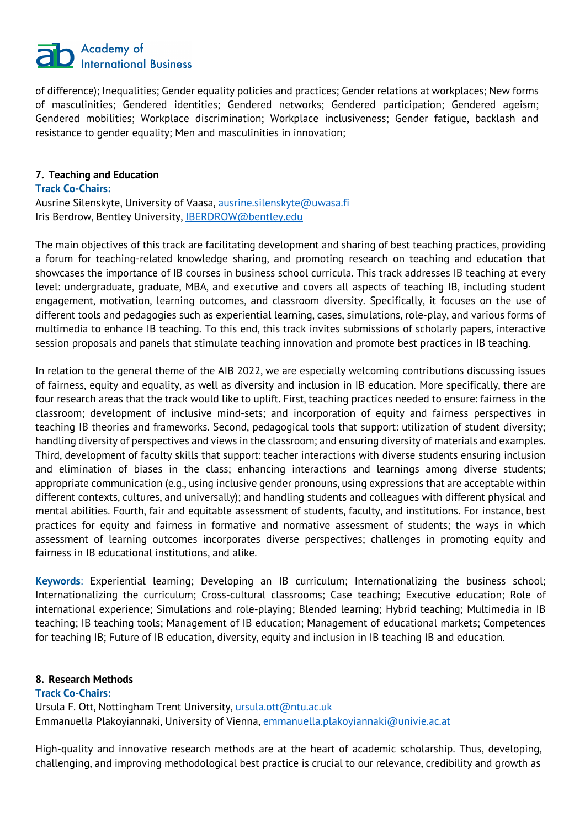

of difference); Inequalities; Gender equality policies and practices; Gender relations at workplaces; New forms of masculinities; Gendered identities; Gendered networks; Gendered participation; Gendered ageism; Gendered mobilities; Workplace discrimination; Workplace inclusiveness; Gender fatigue, backlash and resistance to gender equality; Men and masculinities in innovation;

#### **7. Teaching and Education**

#### **Track Co-Chairs:**

Ausrine Silenskyte, University of Vaasa, ausrine.silenskyte@uwasa.fi Iris Berdrow, Bentley University, **IBERDROW@bentley.edu** 

The main objectives of this track are facilitating development and sharing of best teaching practices, providing a forum for teaching-related knowledge sharing, and promoting research on teaching and education that showcases the importance of IB courses in business school curricula. This track addresses IB teaching at every level: undergraduate, graduate, MBA, and executive and covers all aspects of teaching IB, including student engagement, motivation, learning outcomes, and classroom diversity. Specifically, it focuses on the use of different tools and pedagogies such as experiential learning, cases, simulations, role-play, and various forms of multimedia to enhance IB teaching. To this end, this track invites submissions of scholarly papers, interactive session proposals and panels that stimulate teaching innovation and promote best practices in IB teaching.

In relation to the general theme of the AIB 2022, we are especially welcoming contributions discussing issues of fairness, equity and equality, as well as diversity and inclusion in IB education. More specifically, there are four research areas that the track would like to uplift. First, teaching practices needed to ensure: fairness in the classroom; development of inclusive mind-sets; and incorporation of equity and fairness perspectives in teaching IB theories and frameworks. Second, pedagogical tools that support: utilization of student diversity; handling diversity of perspectives and views in the classroom; and ensuring diversity of materials and examples. Third, development of faculty skills that support: teacher interactions with diverse students ensuring inclusion and elimination of biases in the class; enhancing interactions and learnings among diverse students; appropriate communication (e.g., using inclusive gender pronouns, using expressions that are acceptable within different contexts, cultures, and universally); and handling students and colleagues with different physical and mental abilities. Fourth, fair and equitable assessment of students, faculty, and institutions. For instance, best practices for equity and fairness in formative and normative assessment of students; the ways in which assessment of learning outcomes incorporates diverse perspectives; challenges in promoting equity and fairness in IB educational institutions, and alike.

**Keywords**: Experiential learning; Developing an IB curriculum; Internationalizing the business school; Internationalizing the curriculum; Cross-cultural classrooms; Case teaching; Executive education; Role of international experience; Simulations and role-playing; Blended learning; Hybrid teaching; Multimedia in IB teaching; IB teaching tools; Management of IB education; Management of educational markets; Competences for teaching IB; Future of IB education, diversity, equity and inclusion in IB teaching IB and education.

#### **8. Research Methods**

#### **Track Co-Chairs:**

Ursula F. Ott, Nottingham Trent University, ursula.ott@ntu.ac.uk Emmanuella Plakoyiannaki, University of Vienna, emmanuella.plakoyiannaki@univie.ac.at

High-quality and innovative research methods are at the heart of academic scholarship. Thus, developing, challenging, and improving methodological best practice is crucial to our relevance, credibility and growth as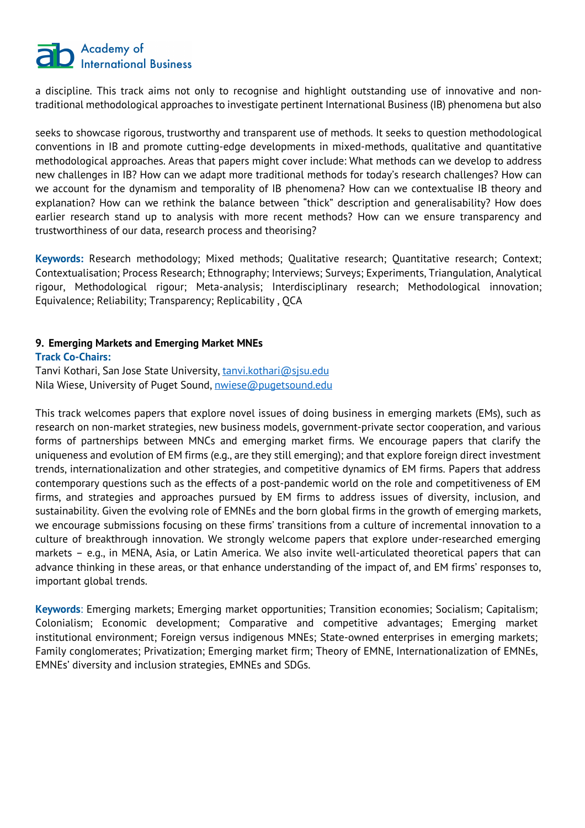## Academy of **International Business**

a discipline. This track aims not only to recognise and highlight outstanding use of innovative and nontraditional methodological approaches to investigate pertinent International Business (IB) phenomena but also

seeks to showcase rigorous, trustworthy and transparent use of methods. It seeks to question methodological conventions in IB and promote cutting-edge developments in mixed-methods, qualitative and quantitative methodological approaches. Areas that papers might cover include: What methods can we develop to address new challenges in IB? How can we adapt more traditional methods for today's research challenges? How can we account for the dynamism and temporality of IB phenomena? How can we contextualise IB theory and explanation? How can we rethink the balance between "thick" description and generalisability? How does earlier research stand up to analysis with more recent methods? How can we ensure transparency and trustworthiness of our data, research process and theorising?

**Keywords:** Research methodology; Mixed methods; Qualitative research; Quantitative research; Context; Contextualisation; Process Research; Ethnography; Interviews; Surveys; Experiments, Triangulation, Analytical rigour, Methodological rigour; Meta-analysis; Interdisciplinary research; Methodological innovation; Equivalence; Reliability; Transparency; Replicability , QCA

#### **9. Emerging Markets and Emerging Market MNEs**

#### **Track Co-Chairs:**

Tanvi Kothari, San Jose State University, tanvi.kothari@sjsu.edu Nila Wiese, University of Puget Sound, nwiese@pugetsound.edu

This track welcomes papers that explore novel issues of doing business in emerging markets (EMs), such as research on non-market strategies, new business models, government-private sector cooperation, and various forms of partnerships between MNCs and emerging market firms. We encourage papers that clarify the uniqueness and evolution of EM firms (e.g., are they still emerging); and that explore foreign direct investment trends, internationalization and other strategies, and competitive dynamics of EM firms. Papers that address contemporary questions such as the effects of a post-pandemic world on the role and competitiveness of EM firms, and strategies and approaches pursued by EM firms to address issues of diversity, inclusion, and sustainability. Given the evolving role of EMNEs and the born global firms in the growth of emerging markets, we encourage submissions focusing on these firms' transitions from a culture of incremental innovation to a culture of breakthrough innovation. We strongly welcome papers that explore under-researched emerging markets – e.g., in MENA, Asia, or Latin America. We also invite well-articulated theoretical papers that can advance thinking in these areas, or that enhance understanding of the impact of, and EM firms' responses to, important global trends.

**Keywords**: Emerging markets; Emerging market opportunities; Transition economies; Socialism; Capitalism; Colonialism; Economic development; Comparative and competitive advantages; Emerging market institutional environment; Foreign versus indigenous MNEs; State-owned enterprises in emerging markets; Family conglomerates; Privatization; Emerging market firm; Theory of EMNE, Internationalization of EMNEs, EMNEs' diversity and inclusion strategies, EMNEs and SDGs.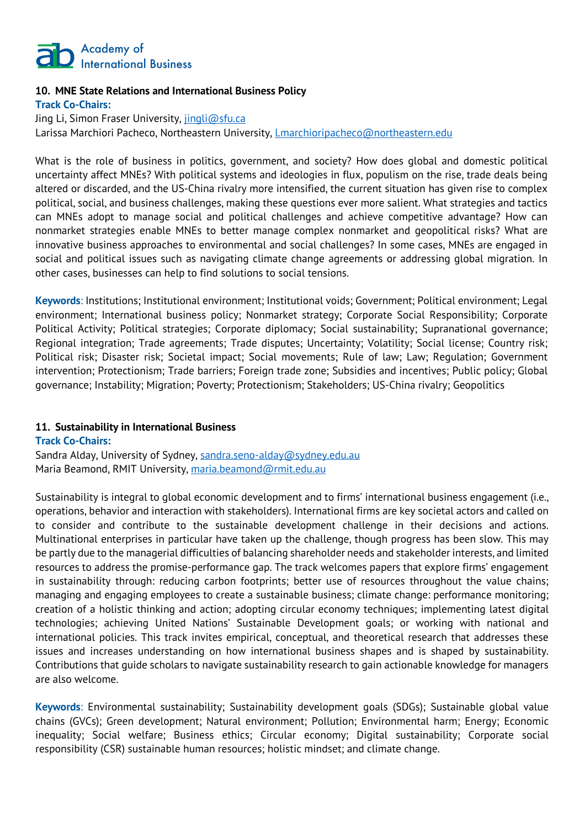

#### **10. MNE State Relations and International Business Policy Track Co-Chairs:**

Jing Li, Simon Fraser University, *jingli@sfu.ca* Larissa Marchiori Pacheco, Northeastern University, *Lmarchioripacheco@northeastern.edu* 

What is the role of business in politics, government, and society? How does global and domestic political uncertainty affect MNEs? With political systems and ideologies in flux, populism on the rise, trade deals being altered or discarded, and the US-China rivalry more intensified, the current situation has given rise to complex political, social, and business challenges, making these questions ever more salient. What strategies and tactics can MNEs adopt to manage social and political challenges and achieve competitive advantage? How can nonmarket strategies enable MNEs to better manage complex nonmarket and geopolitical risks? What are innovative business approaches to environmental and social challenges? In some cases, MNEs are engaged in social and political issues such as navigating climate change agreements or addressing global migration. In other cases, businesses can help to find solutions to social tensions.

**Keywords**: Institutions; Institutional environment; Institutional voids; Government; Political environment; Legal environment; International business policy; Nonmarket strategy; Corporate Social Responsibility; Corporate Political Activity; Political strategies; Corporate diplomacy; Social sustainability; Supranational governance; Regional integration; Trade agreements; Trade disputes; Uncertainty; Volatility; Social license; Country risk; Political risk; Disaster risk; Societal impact; Social movements; Rule of law; Law; Regulation; Government intervention; Protectionism; Trade barriers; Foreign trade zone; Subsidies and incentives; Public policy; Global governance; Instability; Migration; Poverty; Protectionism; Stakeholders; US-China rivalry; Geopolitics

#### **11. Sustainability in International Business**

**Track Co-Chairs:**

Sandra Alday, University of Sydney, sandra.seno-alday@sydney.edu.au Maria Beamond, RMIT University, maria.beamond@rmit.edu.au

Sustainability is integral to global economic development and to firms' international business engagement (i.e., operations, behavior and interaction with stakeholders). International firms are key societal actors and called on to consider and contribute to the sustainable development challenge in their decisions and actions. Multinational enterprises in particular have taken up the challenge, though progress has been slow. This may be partly due to the managerial difficulties of balancing shareholder needs and stakeholder interests, and limited resources to address the promise-performance gap. The track welcomes papers that explore firms' engagement in sustainability through: reducing carbon footprints; better use of resources throughout the value chains; managing and engaging employees to create a sustainable business; climate change: performance monitoring; creation of a holistic thinking and action; adopting circular economy techniques; implementing latest digital technologies; achieving United Nations' Sustainable Development goals; or working with national and international policies. This track invites empirical, conceptual, and theoretical research that addresses these issues and increases understanding on how international business shapes and is shaped by sustainability. Contributions that guide scholars to navigate sustainability research to gain actionable knowledge for managers are also welcome.

**Keywords**: Environmental sustainability; Sustainability development goals (SDGs); Sustainable global value chains (GVCs); Green development; Natural environment; Pollution; Environmental harm; Energy; Economic inequality; Social welfare; Business ethics; Circular economy; Digital sustainability; Corporate social responsibility (CSR) sustainable human resources; holistic mindset; and climate change.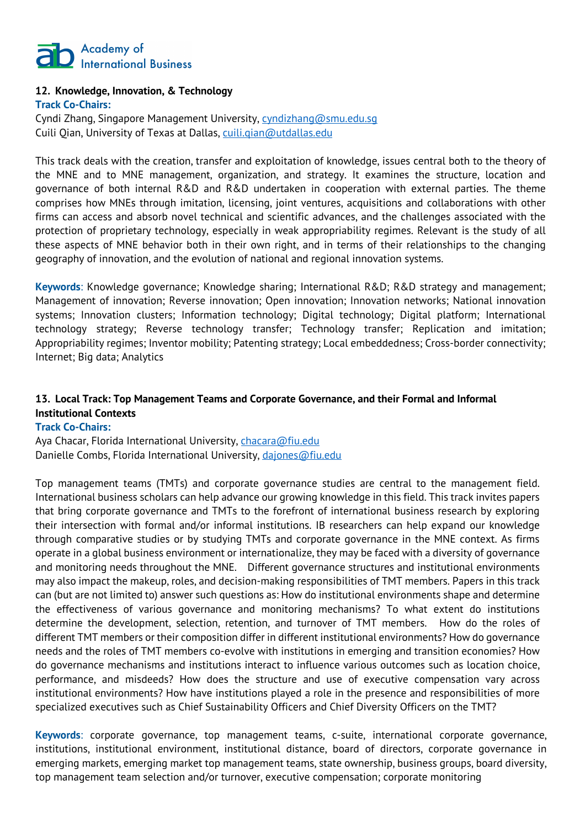

### **12. Knowledge, Innovation, & Technology**

**Track Co-Chairs:** Cyndi Zhang, Singapore Management University, cyndizhang@smu.edu.sg

Cuili Qian, University of Texas at Dallas, cuili.qian@utdallas.edu

This track deals with the creation, transfer and exploitation of knowledge, issues central both to the theory of the MNE and to MNE management, organization, and strategy. It examines the structure, location and governance of both internal R&D and R&D undertaken in cooperation with external parties. The theme comprises how MNEs through imitation, licensing, joint ventures, acquisitions and collaborations with other firms can access and absorb novel technical and scientific advances, and the challenges associated with the protection of proprietary technology, especially in weak appropriability regimes. Relevant is the study of all these aspects of MNE behavior both in their own right, and in terms of their relationships to the changing geography of innovation, and the evolution of national and regional innovation systems.

**Keywords**: Knowledge governance; Knowledge sharing; International R&D; R&D strategy and management; Management of innovation; Reverse innovation; Open innovation; Innovation networks; National innovation systems; Innovation clusters; Information technology; Digital technology; Digital platform; International technology strategy; Reverse technology transfer; Technology transfer; Replication and imitation; Appropriability regimes; Inventor mobility; Patenting strategy; Local embeddedness; Cross-border connectivity; Internet; Big data; Analytics

### **13. Local Track: Top Management Teams and Corporate Governance, and their Formal and Informal Institutional Contexts**

#### **Track Co-Chairs:**

Aya Chacar, Florida International University, *chacara@fiu.edu* Danielle Combs, Florida International University, dajones@fiu.edu

Top management teams (TMTs) and corporate governance studies are central to the management field. International business scholars can help advance our growing knowledge in this field. This track invites papers that bring corporate governance and TMTs to the forefront of international business research by exploring their intersection with formal and/or informal institutions. IB researchers can help expand our knowledge through comparative studies or by studying TMTs and corporate governance in the MNE context. As firms operate in a global business environment or internationalize, they may be faced with a diversity of governance and monitoring needs throughout the MNE. Different governance structures and institutional environments may also impact the makeup, roles, and decision-making responsibilities of TMT members. Papers in this track can (but are not limited to) answer such questions as: How do institutional environments shape and determine the effectiveness of various governance and monitoring mechanisms? To what extent do institutions determine the development, selection, retention, and turnover of TMT members. How do the roles of different TMT members or their composition differ in different institutional environments? How do governance needs and the roles of TMT members co-evolve with institutions in emerging and transition economies? How do governance mechanisms and institutions interact to influence various outcomes such as location choice, performance, and misdeeds? How does the structure and use of executive compensation vary across institutional environments? How have institutions played a role in the presence and responsibilities of more specialized executives such as Chief Sustainability Officers and Chief Diversity Officers on the TMT?

**Keywords**: corporate governance, top management teams, c-suite, international corporate governance, institutions, institutional environment, institutional distance, board of directors, corporate governance in emerging markets, emerging market top management teams, state ownership, business groups, board diversity, top management team selection and/or turnover, executive compensation; corporate monitoring